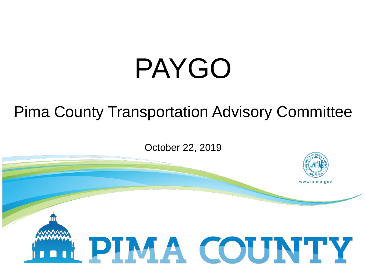# PAYGO

#### Pima County Transportation Advisory Committee

October 22, 2019

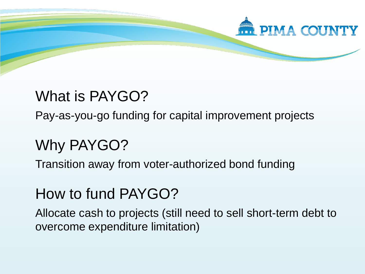

#### What is PAYGO?

Pay-as-you-go funding for capital improvement projects

### Why PAYGO?

Transition away from voter-authorized bond funding

#### How to fund PAYGO?

Allocate cash to projects (still need to sell short-term debt to overcome expenditure limitation)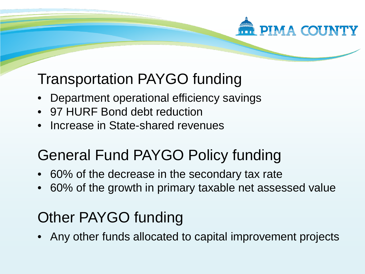# **PIMA COUNTY**

#### Transportation PAYGO funding

- Department operational efficiency savings
- 97 HURF Bond debt reduction
- Increase in State-shared revenues

## General Fund PAYGO Policy funding

- 60% of the decrease in the secondary tax rate
- 60% of the growth in primary taxable net assessed value

#### Other PAYGO funding

• Any other funds allocated to capital improvement projects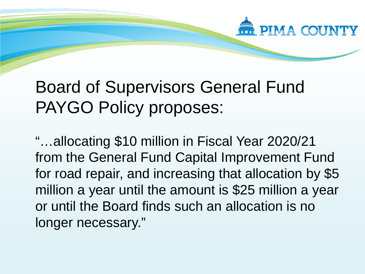

# Board of Supervisors General Fund PAYGO Policy proposes:

"…allocating \$10 million in Fiscal Year 2020/21 from the General Fund Capital Improvement Fund for road repair, and increasing that allocation by \$5 million a year until the amount is \$25 million a year or until the Board finds such an allocation is no longer necessary."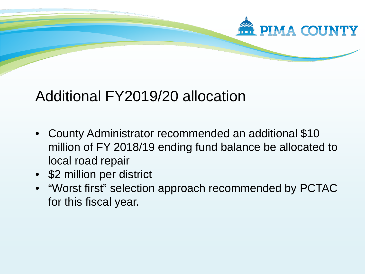

#### Additional FY2019/20 allocation

- County Administrator recommended an additional \$10 million of FY 2018/19 ending fund balance be allocated to local road repair
- \$2 million per district
- "Worst first" selection approach recommended by PCTAC for this fiscal year.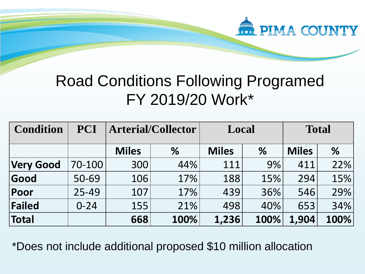

#### Road Conditions Following Programed FY 2019/20 Work\*

| <b>Condition</b> | <b>PCI</b> | <b>Arterial/Collector</b> |      | Local        |      | <b>Total</b> |      |
|------------------|------------|---------------------------|------|--------------|------|--------------|------|
|                  |            | <b>Miles</b>              | %    | <b>Miles</b> | %    | <b>Miles</b> | $\%$ |
| <b>Very Good</b> | 70-100     | 300                       | 44%  | 111          | 9%   | 411          | 22%  |
| Good             | 50-69      | 106                       | 17%  | 188          | 15%  | 294          | 15%  |
| Poor             | 25-49      | 107                       | 17%  | 439          | 36%  | 546          | 29%  |
| Failed           | $0 - 24$   | 155                       | 21%  | 498          | 40%  | 653          | 34%  |
| Total            |            | 668                       | 100% | 1,236        | 100% | 1,904        | 100% |

\*Does not include additional proposed \$10 million allocation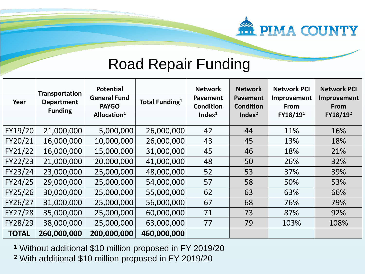

#### Road Repair Funding

| Year         | <b>Transportation</b><br><b>Department</b><br><b>Funding</b> | <b>Potential</b><br><b>General Fund</b><br><b>PAYGO</b><br>Allocation <sup>1</sup> | <b>Total Funding</b> <sup>1</sup> | <b>Network</b><br><b>Pavement</b><br><b>Condition</b><br>Index <sup>1</sup> | <b>Network</b><br><b>Pavement</b><br><b>Condition</b><br>Index <sup>2</sup> | <b>Network PCI</b><br>Improvement<br>From<br>FY18/19 <sup>1</sup> | <b>Network PCI</b><br>Improvement<br>From<br>FY18/19 <sup>2</sup> |
|--------------|--------------------------------------------------------------|------------------------------------------------------------------------------------|-----------------------------------|-----------------------------------------------------------------------------|-----------------------------------------------------------------------------|-------------------------------------------------------------------|-------------------------------------------------------------------|
| FY19/20      | 21,000,000                                                   | 5,000,000                                                                          | 26,000,000                        | 42                                                                          | 44                                                                          | 11%                                                               | 16%                                                               |
| FY20/21      | 16,000,000                                                   | 10,000,000                                                                         | 26,000,000                        | 43                                                                          | 45                                                                          | 13%                                                               | 18%                                                               |
| FY21/22      | 16,000,000                                                   | 15,000,000                                                                         | 31,000,000                        | 45                                                                          | 46                                                                          | 18%                                                               | 21%                                                               |
| FY22/23      | 21,000,000                                                   | 20,000,000                                                                         | 41,000,000                        | 48                                                                          | 50                                                                          | 26%                                                               | 32%                                                               |
| FY23/24      | 23,000,000                                                   | 25,000,000                                                                         | 48,000,000                        | 52                                                                          | 53                                                                          | 37%                                                               | 39%                                                               |
| FY24/25      | 29,000,000                                                   | 25,000,000                                                                         | 54,000,000                        | 57                                                                          | 58                                                                          | 50%                                                               | 53%                                                               |
| FY25/26      | 30,000,000                                                   | 25,000,000                                                                         | 55,000,000                        | 62                                                                          | 63                                                                          | 63%                                                               | 66%                                                               |
| FY26/27      | 31,000,000                                                   | 25,000,000                                                                         | 56,000,000                        | 67                                                                          | 68                                                                          | 76%                                                               | 79%                                                               |
| FY27/28      | 35,000,000                                                   | 25,000,000                                                                         | 60,000,000                        | 71                                                                          | 73                                                                          | 87%                                                               | 92%                                                               |
| FY28/29      | 38,000,000                                                   | 25,000,000                                                                         | 63,000,000                        | 77                                                                          | 79                                                                          | 103%                                                              | 108%                                                              |
| <b>TOTAL</b> | 260,000,000                                                  | 200,000,000                                                                        | 460,000,000                       |                                                                             |                                                                             |                                                                   |                                                                   |

**<sup>1</sup>** Without additional \$10 million proposed in FY 2019/20

**<sup>2</sup>** With additional \$10 million proposed in FY 2019/20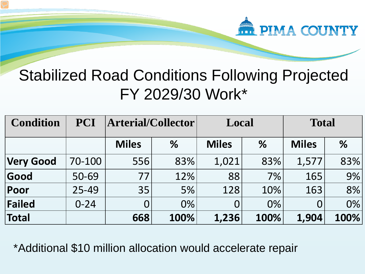

#### Stabilized Road Conditions Following Projected FY 2029/30 Work\*

| <b>Condition</b> | <b>PCI</b> | Arterial/Collector |       | Local        |      | <b>Total</b> |      |
|------------------|------------|--------------------|-------|--------------|------|--------------|------|
|                  |            | <b>Miles</b>       | $\%$  | <b>Miles</b> | %    | <b>Miles</b> | $\%$ |
| <b>Very Good</b> | 70-100     | 556                | 83%   | 1,021        | 83%  | 1,577        | 83%  |
| Good             | 50-69      | 77                 | 12%   | 88           | 7%   | 165          | 9%   |
| Poor             | 25-49      | 35                 | $5\%$ | 128          | 10%  | 163          | 8%   |
| Failed           | $0 - 24$   | $\overline{0}$     | 0%    |              | 0%   |              | 0%   |
| Total            |            | 668                | 100%  | 1,236        | 100% | 1,904        | 100% |

\*Additional \$10 million allocation would accelerate repair